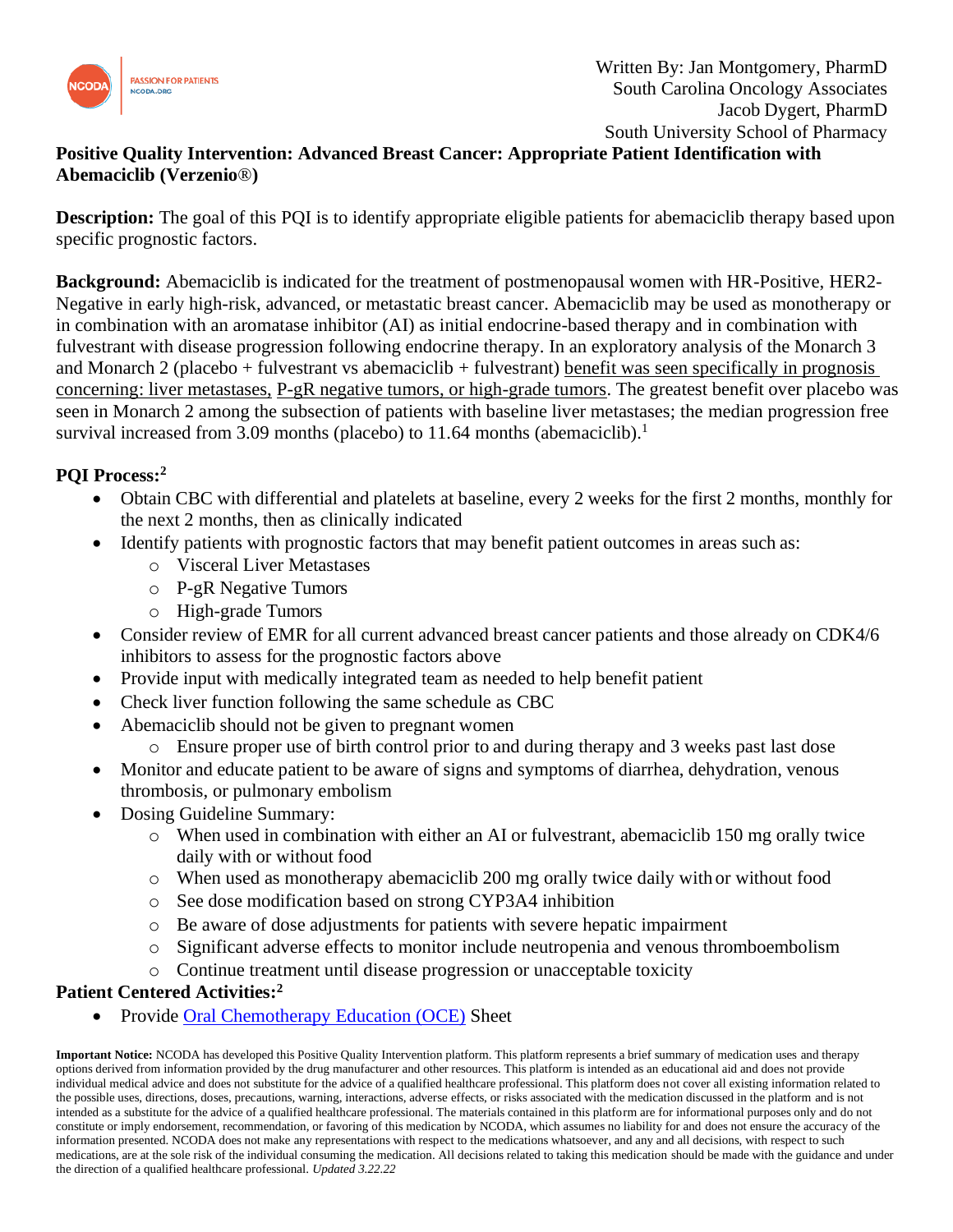

## **Positive Quality Intervention: Advanced Breast Cancer: Appropriate Patient Identification with Abemaciclib (Verzenio**®**)**

**Description:** The goal of this PQI is to identify appropriate eligible patients for abemaciclib therapy based upon specific prognostic factors.

**Background:** Abemaciclib is indicated for the treatment of postmenopausal women with HR-Positive, HER2- Negative in early high-risk, advanced, or metastatic breast cancer. Abemaciclib may be used as monotherapy or in combination with an aromatase inhibitor (AI) as initial endocrine-based therapy and in combination with fulvestrant with disease progression following endocrine therapy. In an exploratory analysis of the Monarch 3 and Monarch 2 (placebo + fulvestrant vs abemaciclib + fulvestrant) benefit was seen specifically in prognosis concerning: liver metastases, P-gR negative tumors, or high-grade tumors. The greatest benefit over placebo was seen in Monarch 2 among the subsection of patients with baseline liver metastases; the median progression free survival increased from 3.09 months (placebo) to 11.64 months (abemaciclib).<sup>1</sup>

## **PQI Process:<sup>2</sup>**

- Obtain CBC with differential and platelets at baseline, every 2 weeks for the first 2 months, monthly for the next 2 months, then as clinically indicated
- Identify patients with prognostic factors that may benefit patient outcomes in areas such as:
	- o Visceral Liver Metastases
	- o P-gR Negative Tumors
	- o High-grade Tumors
- Consider review of EMR for all current advanced breast cancer patients and those already on CDK4/6 inhibitors to assess for the prognostic factors above
- Provide input with medically integrated team as needed to help benefit patient
- Check liver function following the same schedule as CBC
- Abemaciclib should not be given to pregnant women
	- o Ensure proper use of birth control prior to and during therapy and 3 weeks past last dose
- Monitor and educate patient to be aware of signs and symptoms of diarrhea, dehydration, venous thrombosis, or pulmonary embolism
- Dosing Guideline Summary:
	- o When used in combination with either an AI or fulvestrant, abemaciclib 150 mg orally twice daily with or without food
	- o When used as monotherapy abemaciclib 200 mg orally twice daily with or without food
	- o See dose modification based on strong CYP3A4 inhibition
	- o Be aware of dose adjustments for patients with severe hepatic impairment
	- o Significant adverse effects to monitor include neutropenia and venous thromboembolism
	- o Continue treatment until disease progression or unacceptable toxicity

## **Patient Centered Activities: 2**

Provide Oral [Chemotherapy Education \(OCE\)](https://www.oralchemoedsheets.com/index.php/sheet-library/24-available/generic/313-abemaciclib) Sheet

**Important Notice:** NCODA has developed this Positive Quality Intervention platform. This platform represents a brief summary of medication uses and therapy options derived from information provided by the drug manufacturer and other resources. This platform is intended as an educational aid and does not provide individual medical advice and does not substitute for the advice of a qualified healthcare professional. This platform does not cover all existing information related to the possible uses, directions, doses, precautions, warning, interactions, adverse effects, or risks associated with the medication discussed in the platform and is not intended as a substitute for the advice of a qualified healthcare professional. The materials contained in this platform are for informational purposes only and do not constitute or imply endorsement, recommendation, or favoring of this medication by NCODA, which assumes no liability for and does not ensure the accuracy of the information presented. NCODA does not make any representations with respect to the medications whatsoever, and any and all decisions, with respect to such medications, are at the sole risk of the individual consuming the medication. All decisions related to taking this medication should be made with the guidance and under the direction of a qualified healthcare professional. *Updated 3.22.22*